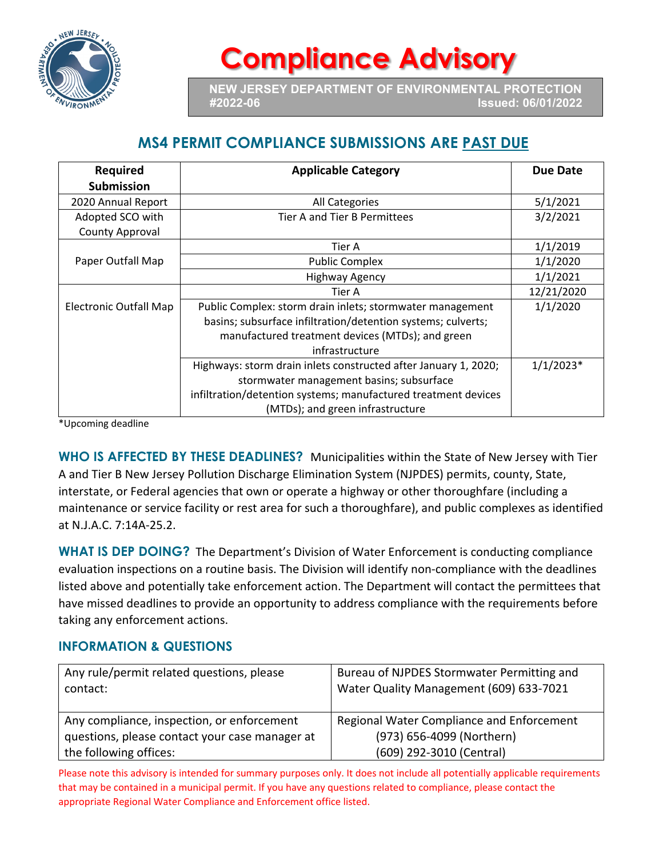

## **Compliance Advisory**

**NEW JERSEY DEPARTMENT OF ENVIRONMENTAL PROTECTION #2022-06 Issued: 06/01/2022**

## **MS4 PERMIT COMPLIANCE SUBMISSIONS ARE PAST DUE**

| <b>Required</b>        | <b>Applicable Category</b>                                      | Due Date    |
|------------------------|-----------------------------------------------------------------|-------------|
| <b>Submission</b>      |                                                                 |             |
| 2020 Annual Report     | All Categories                                                  | 5/1/2021    |
| Adopted SCO with       | Tier A and Tier B Permittees                                    | 3/2/2021    |
| <b>County Approval</b> |                                                                 |             |
|                        | Tier A                                                          | 1/1/2019    |
| Paper Outfall Map      | <b>Public Complex</b>                                           | 1/1/2020    |
|                        | <b>Highway Agency</b>                                           | 1/1/2021    |
|                        | Tier A                                                          | 12/21/2020  |
| Electronic Outfall Map | Public Complex: storm drain inlets; stormwater management       | 1/1/2020    |
|                        | basins; subsurface infiltration/detention systems; culverts;    |             |
|                        | manufactured treatment devices (MTDs); and green                |             |
|                        | infrastructure                                                  |             |
|                        | Highways: storm drain inlets constructed after January 1, 2020; | $1/1/2023*$ |
|                        | stormwater management basins; subsurface                        |             |
|                        | infiltration/detention systems; manufactured treatment devices  |             |
|                        | (MTDs); and green infrastructure                                |             |

\*Upcoming deadline

**WHO IS AFFECTED BY THESE DEADLINES?** Municipalities within the State of New Jersey with Tier A and Tier B New Jersey Pollution Discharge Elimination System (NJPDES) permits, county, State, interstate, or Federal agencies that own or operate a highway or other thoroughfare (including a maintenance or service facility or rest area for such a thoroughfare), and public complexes as identified at N.J.A.C. 7:14A-25.2.

**WHAT IS DEP DOING?** The Department's Division of Water Enforcement is conducting compliance evaluation inspections on a routine basis. The Division will identify non-compliance with the deadlines listed above and potentially take enforcement action. The Department will contact the permittees that have missed deadlines to provide an opportunity to address compliance with the requirements before taking any enforcement actions.

## **INFORMATION & QUESTIONS**

| Any rule/permit related questions, please<br>contact: | Bureau of NJPDES Stormwater Permitting and<br>Water Quality Management (609) 633-7021 |
|-------------------------------------------------------|---------------------------------------------------------------------------------------|
| Any compliance, inspection, or enforcement            | Regional Water Compliance and Enforcement                                             |
| questions, please contact your case manager at        | (973) 656-4099 (Northern)                                                             |
| the following offices:                                | (609) 292-3010 (Central)                                                              |

Please note this advisory is intended for summary purposes only. It does not include all potentially applicable requirements that may be contained in a municipal permit. If you have any questions related to compliance, please contact the appropriate Regional Water Compliance and Enforcement office listed.